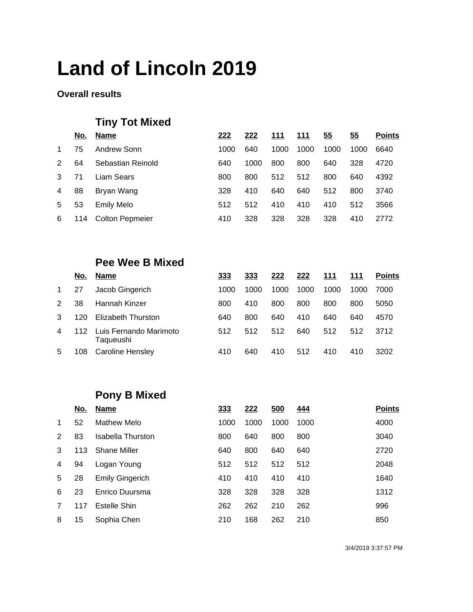#### **Overall results**

# **Tiny Tot Mixed**

|               | <u>No.</u> | <b>Name</b>            | 222  | 222  | 111  | 111  | <u>55</u> | 55   | <b>Points</b> |
|---------------|------------|------------------------|------|------|------|------|-----------|------|---------------|
| $\mathbf{1}$  | 75         | Andrew Sonn            | 1000 | 640  | 1000 | 1000 | 1000      | 1000 | 6640          |
| $\mathcal{P}$ | 64         | Sebastian Reinold      | 640  | 1000 | 800  | 800  | 640       | 328  | 4720          |
| 3             | 71         | Liam Sears             | 800  | 800  | 512  | 512  | 800       | 640  | 4392          |
| 4             | 88         | Bryan Wang             | 328  | 410  | 640  | 640  | 512       | 800  | 3740          |
| 5             | 53         | <b>Emily Melo</b>      | 512  | 512  | 410  | 410  | 410       | 512  | 3566          |
| 6             | 114        | <b>Colton Pepmeier</b> | 410  | 328  | 328  | 328  | 328       | 410  | 2772          |

### **Pee Wee B Mixed**

|              | No. | <b>Name</b>                         | 333  | 333  | 222  | 222  | 111  | 111  | <b>Points</b> |
|--------------|-----|-------------------------------------|------|------|------|------|------|------|---------------|
| $\mathbf{1}$ | 27  | Jacob Gingerich                     | 1000 | 1000 | 1000 | 1000 | 1000 | 1000 | 7000          |
| 2            | 38  | Hannah Kinzer                       | 800  | 410  | 800  | 800  | 800  | 800  | 5050          |
| 3            | 120 | <b>Elizabeth Thurston</b>           | 640  | 800  | 640  | 410  | 640  | 640  | 4570          |
| 4            | 112 | Luis Fernando Marimoto<br>Taqueushi | 512  | 512  | 512  | 640  | 512  | 512  | 3712          |
| 5            | 108 | Caroline Hensley                    | 410  | 640  | 410  | 512  | 410  | 410  | 3202          |

## **Pony B Mixed**

|   | No. | <b>Name</b>            | 333  | 222  | 500  | <u>444</u> | <b>Points</b> |
|---|-----|------------------------|------|------|------|------------|---------------|
| 1 | 52  | Mathew Melo            | 1000 | 1000 | 1000 | 1000       | 4000          |
| 2 | 83  | Isabella Thurston      | 800  | 640  | 800  | 800        | 3040          |
| 3 | 113 | <b>Shane Miller</b>    | 640  | 800  | 640  | 640        | 2720          |
| 4 | 94  | Logan Young            | 512  | 512  | 512  | 512        | 2048          |
| 5 | 28  | <b>Emily Gingerich</b> | 410  | 410  | 410  | 410        | 1640          |
| 6 | 23  | Enrico Duursma         | 328  | 328  | 328  | 328        | 1312          |
| 7 | 117 | Estelle Shin           | 262  | 262  | 210  | 262        | 996           |
| 8 | 15  | Sophia Chen            | 210  | 168  | 262  | 210        | 850           |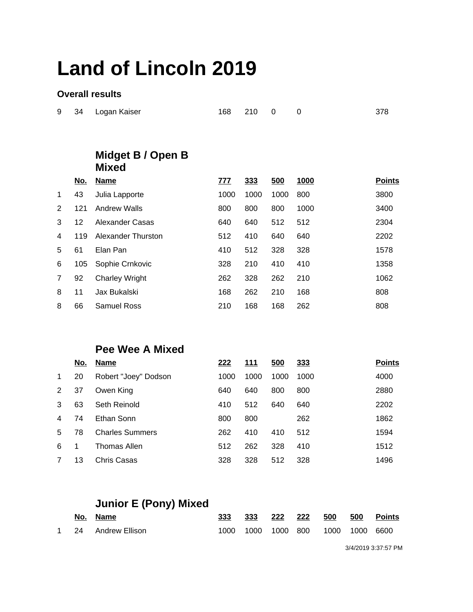#### **Overall results**

|  | 9 34 Logan Kaiser | 168 210 0 0 |  | 378 |
|--|-------------------|-------------|--|-----|
|  |                   |             |  |     |

### **Midget B / Open B Mixed**

|                | <u>No.</u> | <b>Name</b>           | <u>777</u> | 333  | 500  | <u>1000</u> | <b>Points</b> |
|----------------|------------|-----------------------|------------|------|------|-------------|---------------|
| $\mathbf 1$    | 43         | Julia Lapporte        | 1000       | 1000 | 1000 | 800         | 3800          |
| 2              | 121        | Andrew Walls          | 800        | 800  | 800  | 1000        | 3400          |
| 3              | 12         | Alexander Casas       | 640        | 640  | 512  | 512         | 2304          |
| 4              | 119        | Alexander Thurston    | 512        | 410  | 640  | 640         | 2202          |
| 5              | 61         | Elan Pan              | 410        | 512  | 328  | 328         | 1578          |
| 6              | 105        | Sophie Crnkovic       | 328        | 210  | 410  | 410         | 1358          |
| $\overline{7}$ | 92         | <b>Charley Wright</b> | 262        | 328  | 262  | 210         | 1062          |
| 8              | 11         | Jax Bukalski          | 168        | 262  | 210  | 168         | 808           |
| 8              | 66         | Samuel Ross           | 210        | 168  | 168  | 262         | 808           |

### **Pee Wee A Mixed**

| No. | <b>Name</b>            | 222  | <u>111</u> | 500  | 333  | <b>Points</b> |
|-----|------------------------|------|------------|------|------|---------------|
| 20  | Robert "Joey" Dodson   | 1000 | 1000       | 1000 | 1000 | 4000          |
| 37  | Owen King              | 640  | 640        | 800  | 800  | 2880          |
| 63  | Seth Reinold           | 410  | 512        | 640  | 640  | 2202          |
| 74  | Ethan Sonn             | 800  | 800        |      | 262  | 1862          |
| 78  | <b>Charles Summers</b> | 262  | 410        | 410  | 512  | 1594          |
| 1   | Thomas Allen           | 512  | 262        | 328  | 410  | 1512          |
| 13  | Chris Casas            | 328  | 328        | 512  | 328  | 1496          |
|     |                        |      |            |      |      |               |

## **Junior E (Pony) Mixed**

|  | No. Name            |      | 333 222 222 |                              | 500 | - 500 | Points |
|--|---------------------|------|-------------|------------------------------|-----|-------|--------|
|  | 1 24 Andrew Ellison | 1000 |             | 1000 1000 800 1000 1000 6600 |     |       |        |

3/4/2019 3:37:57 PM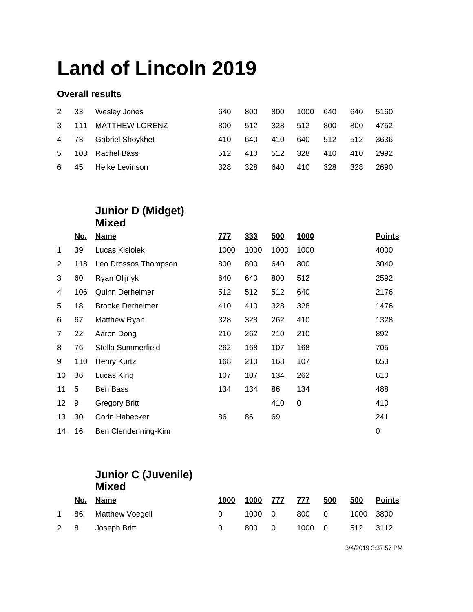#### **Overall results**

| 2 33        |     | Wesley Jones          | 640 | 800 | 800 | 1000 640 |     | 640 | 5160 |
|-------------|-----|-----------------------|-----|-----|-----|----------|-----|-----|------|
| $3^{\circ}$ | 111 | <b>MATTHEW LORENZ</b> | 800 | 512 | 328 | 512      | 800 | 800 | 4752 |
|             |     | 4 73 Gabriel Shoykhet | 410 | 640 | 410 | 640      | 512 | 512 | 3636 |
| 5           |     | 103 Rachel Bass       | 512 | 410 | 512 | 328      | 410 | 410 | 2992 |
| 6           | 45  | Heike Levinson        | 328 | 328 | 640 | 410      | 328 | 328 | 2690 |

#### **Junior D (Midget) Mixed**

|                | <u>No.</u> | <b>Name</b>             | <u>777</u> | 333  | 500  | 1000 | <b>Points</b> |
|----------------|------------|-------------------------|------------|------|------|------|---------------|
| 1              | 39         | Lucas Kisiolek          | 1000       | 1000 | 1000 | 1000 | 4000          |
| 2              | 118        | Leo Drossos Thompson    | 800        | 800  | 640  | 800  | 3040          |
| 3              | 60         | Ryan Olijnyk            | 640        | 640  | 800  | 512  | 2592          |
| 4              | 106        | <b>Quinn Derheimer</b>  | 512        | 512  | 512  | 640  | 2176          |
| 5              | 18         | <b>Brooke Derheimer</b> | 410        | 410  | 328  | 328  | 1476          |
| 6              | 67         | Matthew Ryan            | 328        | 328  | 262  | 410  | 1328          |
| $\overline{7}$ | 22         | Aaron Dong              | 210        | 262  | 210  | 210  | 892           |
| 8              | 76         | Stella Summerfield      | 262        | 168  | 107  | 168  | 705           |
| 9              | 110        | Henry Kurtz             | 168        | 210  | 168  | 107  | 653           |
| 10             | 36         | Lucas King              | 107        | 107  | 134  | 262  | 610           |
| 11             | 5          | <b>Ben Bass</b>         | 134        | 134  | 86   | 134  | 488           |
| 12             | 9          | <b>Gregory Britt</b>    |            |      | 410  | 0    | 410           |
| 13             | 30         | Corin Habecker          | 86         | 86   | 69   |      | 241           |
| 14             | 16         | Ben Clendenning-Kim     |            |      |      |      | $\pmb{0}$     |

### **Junior C (Juvenile) Mixed**

|   | No. Name           | 1000 |       | 1000 777 777 500 | 500             | <b>Points</b> |
|---|--------------------|------|-------|------------------|-----------------|---------------|
| 1 | 86 Matthew Voegeli |      |       | 1000 0 800 0     |                 | 1000 3800     |
|   | 2 8 Joseph Britt   |      | 800 0 |                  | 1000 0 512 3112 |               |

3/4/2019 3:37:57 PM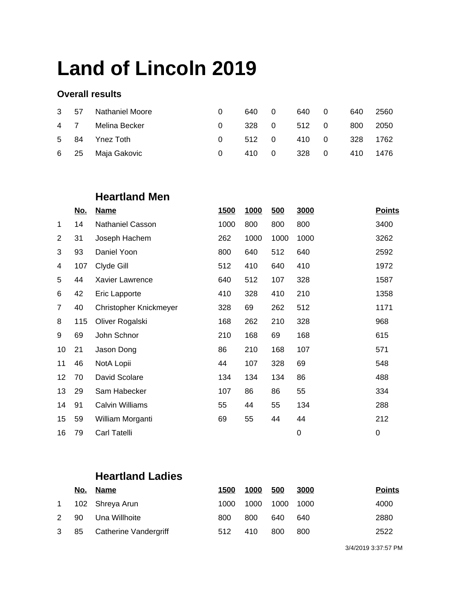#### **Overall results**

|  | 3 57 Nathaniel Moore | 640 0                | 640 0 |                      | 640 2560 |  |
|--|----------------------|----------------------|-------|----------------------|----------|--|
|  | 4 7 Melina Becker    | 328 0 512 0 800 2050 |       |                      |          |  |
|  | 5 84 Ynez Toth       |                      |       | 512 0 410 0 328 1762 |          |  |
|  | 6 25 Maja Gakovic    |                      |       | 410 0 328 0 410 1476 |          |  |

## **Heartland Men**

|                | <u>No.</u> | <b>Name</b>            | <b>1500</b> | 1000 | 500  | 3000 | <b>Points</b> |
|----------------|------------|------------------------|-------------|------|------|------|---------------|
| 1              | 14         | Nathaniel Casson       | 1000        | 800  | 800  | 800  | 3400          |
| $\overline{2}$ | 31         | Joseph Hachem          | 262         | 1000 | 1000 | 1000 | 3262          |
| 3              | 93         | Daniel Yoon            | 800         | 640  | 512  | 640  | 2592          |
| 4              | 107        | Clyde Gill             | 512         | 410  | 640  | 410  | 1972          |
| 5              | 44         | <b>Xavier Lawrence</b> | 640         | 512  | 107  | 328  | 1587          |
| 6              | 42         | Eric Lapporte          | 410         | 328  | 410  | 210  | 1358          |
| $\overline{7}$ | 40         | Christopher Knickmeyer | 328         | 69   | 262  | 512  | 1171          |
| 8              | 115        | Oliver Rogalski        | 168         | 262  | 210  | 328  | 968           |
| 9              | 69         | John Schnor            | 210         | 168  | 69   | 168  | 615           |
| 10             | 21         | Jason Dong             | 86          | 210  | 168  | 107  | 571           |
| 11             | 46         | NotA Lopii             | 44          | 107  | 328  | 69   | 548           |
| 12             | 70         | David Scolare          | 134         | 134  | 134  | 86   | 488           |
| 13             | 29         | Sam Habecker           | 107         | 86   | 86   | 55   | 334           |
| 14             | 91         | <b>Calvin Williams</b> | 55          | 44   | 55   | 134  | 288           |
| 15             | 59         | William Morganti       | 69          | 55   | 44   | 44   | 212           |
| 16             | 79         | <b>Carl Tatelli</b>    |             |      |      | 0    | 0             |

### **Heartland Ladies**

|      | No. Name                   | 1500 | 1000 | 500       | 3000 | <b>Points</b> |
|------|----------------------------|------|------|-----------|------|---------------|
|      | 1 102 Shreya Arun          | 1000 | 1000 | 1000 1000 |      | 4000          |
| 2 90 | Una Willhoite              | 800  | 800  | 640       | 640  | 2880          |
|      | 3 85 Catherine Vandergriff | 512  | 410  | 800       | 800  | 2522          |

3/4/2019 3:37:57 PM